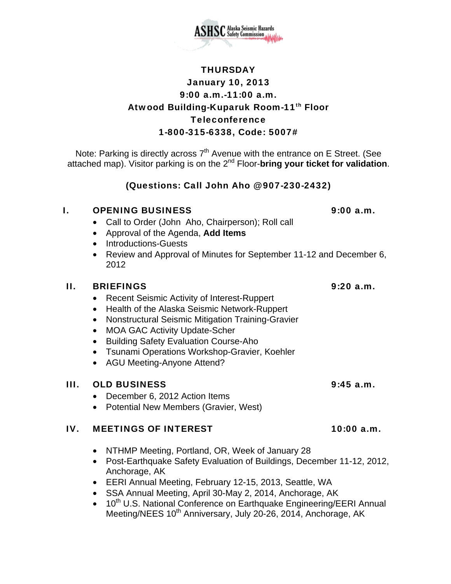

Note: Parking is directly across  $7<sup>th</sup>$  Avenue with the entrance on E Street. (See attached map). Visitor parking is on the 2nd Floor-**bring your ticket for validation**.

# (Questions: Call John Aho @ 907-230-2432)

### I. OPENING BUSINESS 9:00 a.m.

- Call to Order (John Aho, Chairperson); Roll call
- Approval of the Agenda, **Add Items**
- Introductions-Guests
- Review and Approval of Minutes for September 11-12 and December 6, 2012

## II. BRIEFINGS 9:20 a.m.

- Recent Seismic Activity of Interest-Ruppert
- Health of the Alaska Seismic Network-Ruppert
- Nonstructural Seismic Mitigation Training-Gravier
- MOA GAC Activity Update-Scher
- Building Safety Evaluation Course-Aho
- Tsunami Operations Workshop-Gravier, Koehler
- AGU Meeting-Anyone Attend?

# III. OLD BUSINESS 9:45 a.m.

- December 6, 2012 Action Items
- Potential New Members (Gravier, West)

# IV. MEETINGS OF INTEREST 10:00 a.m.

- NTHMP Meeting, Portland, OR, Week of January 28
- Post-Earthquake Safety Evaluation of Buildings, December 11-12, 2012, Anchorage, AK
- EERI Annual Meeting, February 12-15, 2013, Seattle, WA
- SSA Annual Meeting, April 30-May 2, 2014, Anchorage, AK
- 10<sup>th</sup> U.S. National Conference on Earthquake Engineering/EERI Annual Meeting/NEES 10<sup>th</sup> Anniversary, July 20-26, 2014, Anchorage, AK

**SC** Alaska Seismic Hazards